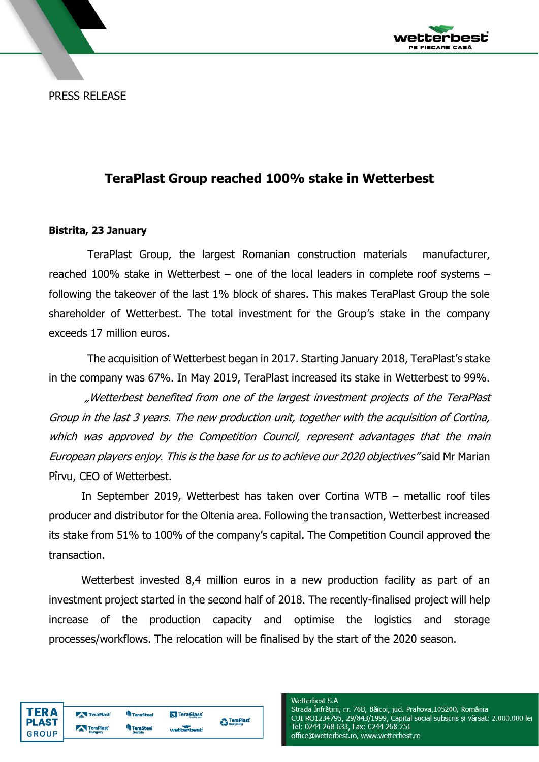*r*etterbest PE FIECARE CASĂ

PRESS RELEASE

## **TeraPlast Group reached 100% stake in Wetterbest**

## **Bistrita, 23 January**

TeraPlast Group, the largest Romanian construction materials manufacturer, reached 100% stake in Wetterbest – one of the local leaders in complete roof systems – following the takeover of the last 1% block of shares. This makes TeraPlast Group the sole shareholder of Wetterbest. The total investment for the Group's stake in the company exceeds 17 million euros.

The acquisition of Wetterbest began in 2017. Starting January 2018, TeraPlast's stake in the company was 67%. In May 2019, TeraPlast increased its stake in Wetterbest to 99%.

"Wetterbest benefited from one of the largest investment projects of the TeraPlast Group in the last 3 years. The new production unit, together with the acquisition of Cortina, which was approved by the Competition Council, represent advantages that the main European players enjoy. This is the base for us to achieve our 2020 objectives" said Mr Marian Pîrvu, CEO of Wetterbest.

In September 2019, Wetterbest has taken over Cortina WTB – metallic roof tiles producer and distributor for the Oltenia area. Following the transaction, Wetterbest increased its stake from 51% to 100% of the company's capital. The Competition Council approved the transaction.

Wetterbest invested 8,4 million euros in a new production facility as part of an investment project started in the second half of 2018. The recently-finalised project will help increase of the production capacity and optimise the logistics and storage processes/workflows. The relocation will be finalised by the start of the 2020 season.

| TERA         | TeraPlast      | <b>R</b> TeraSteel | TeraGlass  | <b>TeraPlast</b>     |
|--------------|----------------|--------------------|------------|----------------------|
| <b>PLAST</b> | TeraPlast      | TeraSteel          | wetterbest | <b>Geo Recycling</b> |
| GROUP        | <b>Hungary</b> | Serbia             |            |                      |